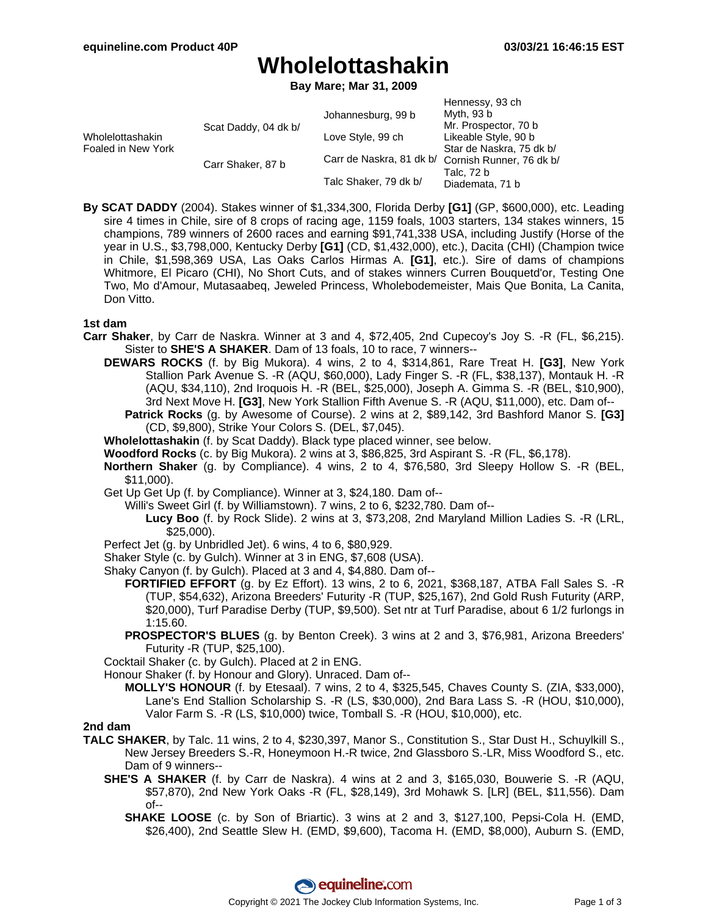# **Wholelottashakin**

**Bay Mare; Mar 31, 2009**

|                                        |                      |                          | Hennessy, 93 ch          |
|----------------------------------------|----------------------|--------------------------|--------------------------|
| Wholelottashakin<br>Foaled in New York | Scat Daddy, 04 dk b/ | Johannesburg, 99 b       | Myth, 93 b               |
|                                        |                      |                          | Mr. Prospector, 70 b     |
|                                        |                      | Love Style, 99 ch        | Likeable Style, 90 b     |
|                                        |                      |                          | Star de Naskra, 75 dk b/ |
|                                        | Carr Shaker, 87 b    | Carr de Naskra, 81 dk b/ | Cornish Runner, 76 dk b/ |
|                                        |                      | Talc Shaker, 79 dk b/    | Talc, 72 b               |
|                                        |                      |                          | Diademata, 71 b          |

**By SCAT DADDY** (2004). Stakes winner of \$1,334,300, Florida Derby **[G1]** (GP, \$600,000), etc. Leading sire 4 times in Chile, sire of 8 crops of racing age, 1159 foals, 1003 starters, 134 stakes winners, 15 champions, 789 winners of 2600 races and earning \$91,741,338 USA, including Justify (Horse of the year in U.S., \$3,798,000, Kentucky Derby **[G1]** (CD, \$1,432,000), etc.), Dacita (CHI) (Champion twice in Chile, \$1,598,369 USA, Las Oaks Carlos Hirmas A. **[G1]**, etc.). Sire of dams of champions Whitmore, El Picaro (CHI), No Short Cuts, and of stakes winners Curren Bouquetd'or, Testing One Two, Mo d'Amour, Mutasaabeq, Jeweled Princess, Wholebodemeister, Mais Que Bonita, La Canita, Don Vitto.

#### **1st dam**

- **Carr Shaker**, by Carr de Naskra. Winner at 3 and 4, \$72,405, 2nd Cupecoy's Joy S. -R (FL, \$6,215). Sister to **SHE'S A SHAKER**. Dam of 13 foals, 10 to race, 7 winners--
	- **DEWARS ROCKS** (f. by Big Mukora). 4 wins, 2 to 4, \$314,861, Rare Treat H. **[G3]**, New York Stallion Park Avenue S. -R (AQU, \$60,000), Lady Finger S. -R (FL, \$38,137), Montauk H. -R (AQU, \$34,110), 2nd Iroquois H. -R (BEL, \$25,000), Joseph A. Gimma S. -R (BEL, \$10,900), 3rd Next Move H. **[G3]**, New York Stallion Fifth Avenue S. -R (AQU, \$11,000), etc. Dam of--
		- **Patrick Rocks** (g. by Awesome of Course). 2 wins at 2, \$89,142, 3rd Bashford Manor S. **[G3]** (CD, \$9,800), Strike Your Colors S. (DEL, \$7,045).
	- **Wholelottashakin** (f. by Scat Daddy). Black type placed winner, see below.
	- **Woodford Rocks** (c. by Big Mukora). 2 wins at 3, \$86,825, 3rd Aspirant S. -R (FL, \$6,178).
	- **Northern Shaker** (g. by Compliance). 4 wins, 2 to 4, \$76,580, 3rd Sleepy Hollow S. -R (BEL, \$11,000).
	- Get Up Get Up (f. by Compliance). Winner at 3, \$24,180. Dam of--
		- Willi's Sweet Girl (f. by Williamstown). 7 wins, 2 to 6, \$232,780. Dam of--
			- **Lucy Boo** (f. by Rock Slide). 2 wins at 3, \$73,208, 2nd Maryland Million Ladies S. -R (LRL, \$25,000).
	- Perfect Jet (g. by Unbridled Jet). 6 wins, 4 to 6, \$80,929.
	- Shaker Style (c. by Gulch). Winner at 3 in ENG, \$7,608 (USA).
	- Shaky Canyon (f. by Gulch). Placed at 3 and 4, \$4,880. Dam of--
		- **FORTIFIED EFFORT** (g. by Ez Effort). 13 wins, 2 to 6, 2021, \$368,187, ATBA Fall Sales S. -R (TUP, \$54,632), Arizona Breeders' Futurity -R (TUP, \$25,167), 2nd Gold Rush Futurity (ARP, \$20,000), Turf Paradise Derby (TUP, \$9,500). Set ntr at Turf Paradise, about 6 1/2 furlongs in 1:15.60.
		- **PROSPECTOR'S BLUES** (g. by Benton Creek). 3 wins at 2 and 3, \$76,981, Arizona Breeders' Futurity -R (TUP, \$25,100).

Cocktail Shaker (c. by Gulch). Placed at 2 in ENG.

- Honour Shaker (f. by Honour and Glory). Unraced. Dam of--
	- **MOLLY'S HONOUR** (f. by Etesaal). 7 wins, 2 to 4, \$325,545, Chaves County S. (ZIA, \$33,000), Lane's End Stallion Scholarship S. -R (LS, \$30,000), 2nd Bara Lass S. -R (HOU, \$10,000), Valor Farm S. -R (LS, \$10,000) twice, Tomball S. -R (HOU, \$10,000), etc.

### **2nd dam**

- **TALC SHAKER**, by Talc. 11 wins, 2 to 4, \$230,397, Manor S., Constitution S., Star Dust H., Schuylkill S., New Jersey Breeders S.-R, Honeymoon H.-R twice, 2nd Glassboro S.-LR, Miss Woodford S., etc. Dam of 9 winners--
	- **SHE'S A SHAKER** (f. by Carr de Naskra). 4 wins at 2 and 3, \$165,030, Bouwerie S. -R (AQU, \$57,870), 2nd New York Oaks -R (FL, \$28,149), 3rd Mohawk S. [LR] (BEL, \$11,556). Dam of--
		- **SHAKE LOOSE** (c. by Son of Briartic). 3 wins at 2 and 3, \$127,100, Pepsi-Cola H. (EMD, \$26,400), 2nd Seattle Slew H. (EMD, \$9,600), Tacoma H. (EMD, \$8,000), Auburn S. (EMD,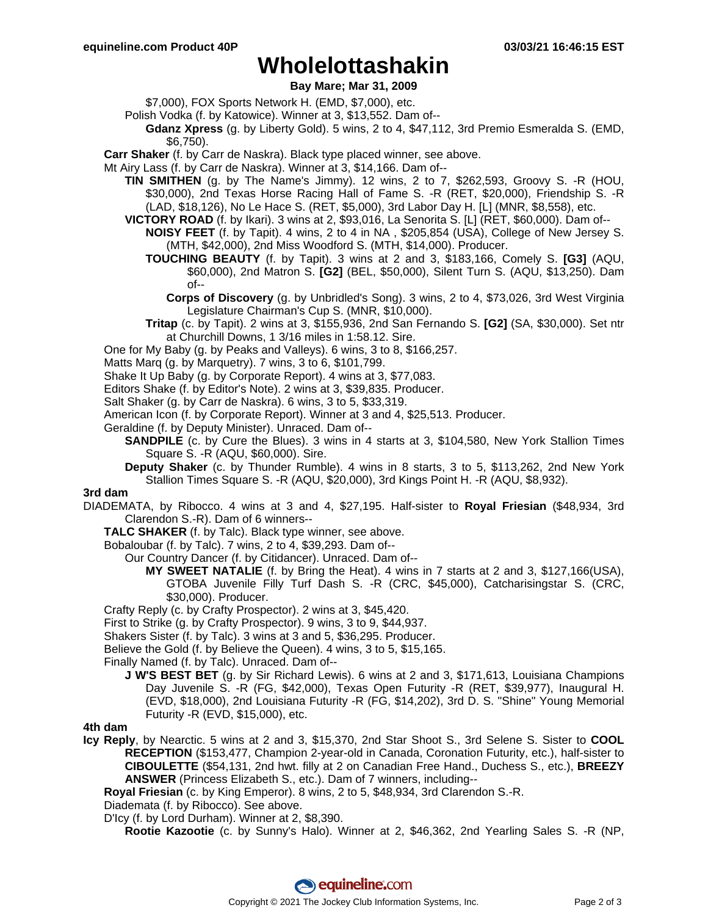## **Wholelottashakin**

## **Bay Mare; Mar 31, 2009**

\$7,000), FOX Sports Network H. (EMD, \$7,000), etc.

- Polish Vodka (f. by Katowice). Winner at 3, \$13,552. Dam of--
	- **Gdanz Xpress** (g. by Liberty Gold). 5 wins, 2 to 4, \$47,112, 3rd Premio Esmeralda S. (EMD, \$6,750).

**Carr Shaker** (f. by Carr de Naskra). Black type placed winner, see above.

- Mt Airy Lass (f. by Carr de Naskra). Winner at 3, \$14,166. Dam of--
	- **TIN SMITHEN** (g. by The Name's Jimmy). 12 wins, 2 to 7, \$262,593, Groovy S. -R (HOU, \$30,000), 2nd Texas Horse Racing Hall of Fame S. -R (RET, \$20,000), Friendship S. -R (LAD, \$18,126), No Le Hace S. (RET, \$5,000), 3rd Labor Day H. [L] (MNR, \$8,558), etc.
	- **VICTORY ROAD** (f. by Ikari). 3 wins at 2, \$93,016, La Senorita S. [L] (RET, \$60,000). Dam of--
		- **NOISY FEET** (f. by Tapit). 4 wins, 2 to 4 in NA , \$205,854 (USA), College of New Jersey S. (MTH, \$42,000), 2nd Miss Woodford S. (MTH, \$14,000). Producer.
		- **TOUCHING BEAUTY** (f. by Tapit). 3 wins at 2 and 3, \$183,166, Comely S. **[G3]** (AQU, \$60,000), 2nd Matron S. **[G2]** (BEL, \$50,000), Silent Turn S. (AQU, \$13,250). Dam of--
			- **Corps of Discovery** (g. by Unbridled's Song). 3 wins, 2 to 4, \$73,026, 3rd West Virginia Legislature Chairman's Cup S. (MNR, \$10,000).
		- **Tritap** (c. by Tapit). 2 wins at 3, \$155,936, 2nd San Fernando S. **[G2]** (SA, \$30,000). Set ntr at Churchill Downs, 1 3/16 miles in 1:58.12. Sire.
- One for My Baby (g. by Peaks and Valleys). 6 wins, 3 to 8, \$166,257.
- Matts Marq (g. by Marquetry). 7 wins, 3 to 6, \$101,799.
- Shake It Up Baby (g. by Corporate Report). 4 wins at 3, \$77,083.
- Editors Shake (f. by Editor's Note). 2 wins at 3, \$39,835. Producer.
- Salt Shaker (g. by Carr de Naskra). 6 wins, 3 to 5, \$33,319.
- American Icon (f. by Corporate Report). Winner at 3 and 4, \$25,513. Producer.
- Geraldine (f. by Deputy Minister). Unraced. Dam of--
	- **SANDPILE** (c. by Cure the Blues). 3 wins in 4 starts at 3, \$104,580, New York Stallion Times Square S. -R (AQU, \$60,000). Sire.
	- **Deputy Shaker** (c. by Thunder Rumble). 4 wins in 8 starts, 3 to 5, \$113,262, 2nd New York Stallion Times Square S. -R (AQU, \$20,000), 3rd Kings Point H. -R (AQU, \$8,932).

#### **3rd dam**

DIADEMATA, by Ribocco. 4 wins at 3 and 4, \$27,195. Half-sister to **Royal Friesian** (\$48,934, 3rd Clarendon S.-R). Dam of 6 winners--

- **TALC SHAKER** (f. by Talc). Black type winner, see above.
- Bobaloubar (f. by Talc). 7 wins, 2 to 4, \$39,293. Dam of--

Our Country Dancer (f. by Citidancer). Unraced. Dam of--

- **MY SWEET NATALIE** (f. by Bring the Heat). 4 wins in 7 starts at 2 and 3, \$127,166(USA), GTOBA Juvenile Filly Turf Dash S. -R (CRC, \$45,000), Catcharisingstar S. (CRC, \$30,000). Producer.
- Crafty Reply (c. by Crafty Prospector). 2 wins at 3, \$45,420.
- First to Strike (g. by Crafty Prospector). 9 wins, 3 to 9, \$44,937.
- Shakers Sister (f. by Talc). 3 wins at 3 and 5, \$36,295. Producer.
- Believe the Gold (f. by Believe the Queen). 4 wins, 3 to 5, \$15,165.
- Finally Named (f. by Talc). Unraced. Dam of--
	- **J W'S BEST BET** (g. by Sir Richard Lewis). 6 wins at 2 and 3, \$171,613, Louisiana Champions Day Juvenile S. -R (FG, \$42,000), Texas Open Futurity -R (RET, \$39,977), Inaugural H. (EVD, \$18,000), 2nd Louisiana Futurity -R (FG, \$14,202), 3rd D. S. "Shine" Young Memorial Futurity -R (EVD, \$15,000), etc.

### **4th dam**

- **Icy Reply**, by Nearctic. 5 wins at 2 and 3, \$15,370, 2nd Star Shoot S., 3rd Selene S. Sister to **COOL RECEPTION** (\$153,477, Champion 2-year-old in Canada, Coronation Futurity, etc.), half-sister to **CIBOULETTE** (\$54,131, 2nd hwt. filly at 2 on Canadian Free Hand., Duchess S., etc.), **BREEZY ANSWER** (Princess Elizabeth S., etc.). Dam of 7 winners, including--
	- **Royal Friesian** (c. by King Emperor). 8 wins, 2 to 5, \$48,934, 3rd Clarendon S.-R.
	- Diademata (f. by Ribocco). See above.
	- D'Icy (f. by Lord Durham). Winner at 2, \$8,390.
		- **Rootie Kazootie** (c. by Sunny's Halo). Winner at 2, \$46,362, 2nd Yearling Sales S. -R (NP,